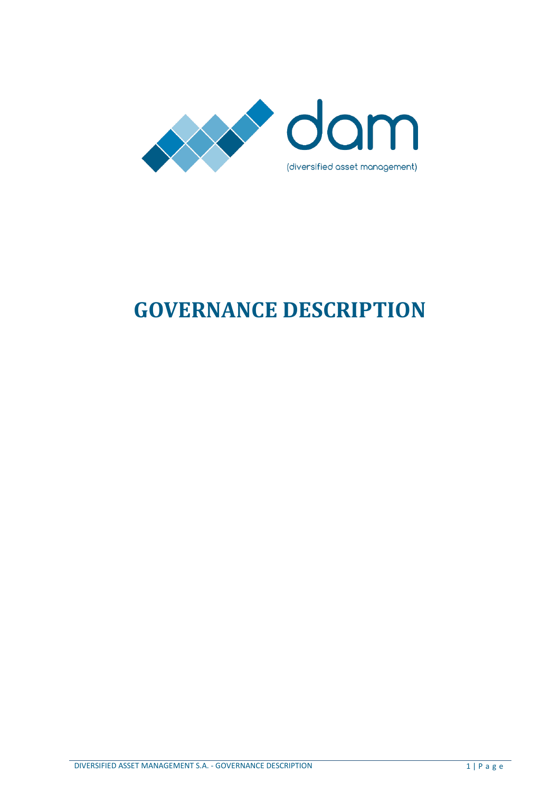

# **GOVERNANCE DESCRIPTION**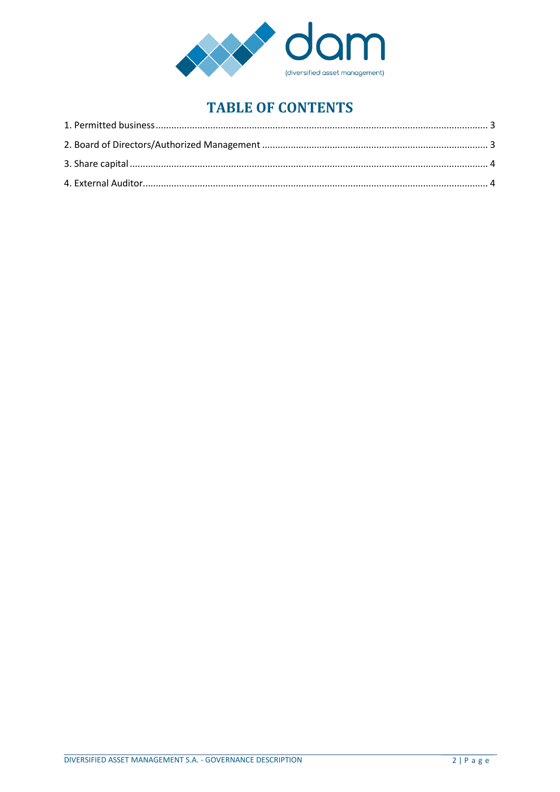

## **TABLE OF CONTENTS**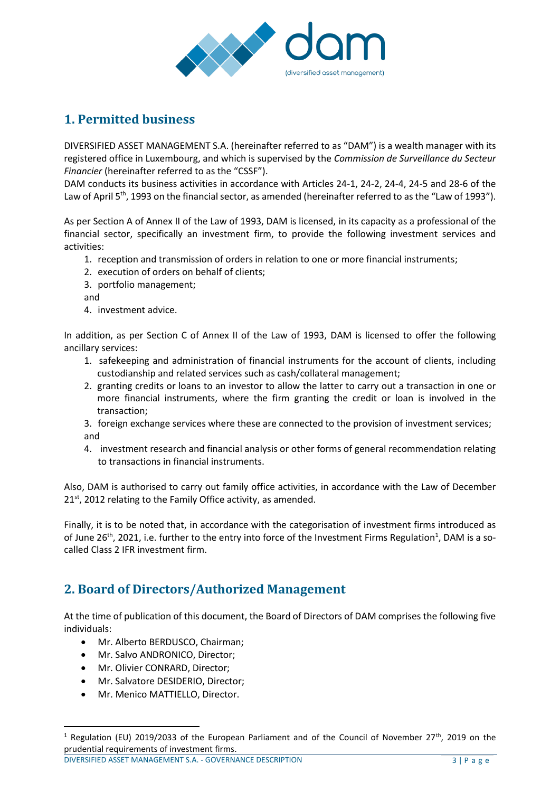

### <span id="page-2-0"></span>**1. Permitted business**

DIVERSIFIED ASSET MANAGEMENT S.A. (hereinafter referred to as "DAM") is a wealth manager with its registered office in Luxembourg, and which is supervised by the *Commission de Surveillance du Secteur Financier* (hereinafter referred to as the "CSSF").

DAM conducts its business activities in accordance with Articles 24-1, 24-2, 24-4, 24-5 and 28-6 of the Law of April 5<sup>th</sup>, 1993 on the financial sector, as amended (hereinafter referred to as the "Law of 1993").

As per Section A of Annex II of the Law of 1993, DAM is licensed, in its capacity as a professional of the financial sector, specifically an investment firm, to provide the following investment services and activities:

- 1. reception and transmission of orders in relation to one or more financial instruments;
- 2. execution of orders on behalf of clients;
- 3. portfolio management;
- and
- 4. investment advice.

In addition, as per Section C of Annex II of the Law of 1993, DAM is licensed to offer the following ancillary services:

- 1. safekeeping and administration of financial instruments for the account of clients, including custodianship and related services such as cash/collateral management;
- 2. granting credits or loans to an investor to allow the latter to carry out a transaction in one or more financial instruments, where the firm granting the credit or loan is involved in the transaction;

3. foreign exchange services where these are connected to the provision of investment services; and

4. investment research and financial analysis or other forms of general recommendation relating to transactions in financial instruments.

Also, DAM is authorised to carry out family office activities, in accordance with the Law of December  $21<sup>st</sup>$ , 2012 relating to the Family Office activity, as amended.

Finally, it is to be noted that, in accordance with the categorisation of investment firms introduced as of June 26<sup>th</sup>, 2021, i.e. further to the entry into force of the Investment Firms Regulation<sup>1</sup>, DAM is a socalled Class 2 IFR investment firm.

#### <span id="page-2-1"></span>**2. Board of Directors/Authorized Management**

At the time of publication of this document, the Board of Directors of DAM comprises the following five individuals:

- Mr. Alberto BERDUSCO, Chairman;
- Mr. Salvo ANDRONICO, Director:
- Mr. Olivier CONRARD, Director;

 $\overline{a}$ 

- Mr. Salvatore DESIDERIO, Director;
- Mr. Menico MATTIELLO, Director.

DIVERSIFIED ASSET MANAGEMENT S.A. - GOVERNANCE DESCRIPTION 3 | P a g e

<sup>&</sup>lt;sup>1</sup> Regulation (EU) 2019/2033 of the European Parliament and of the Council of November 27<sup>th</sup>, 2019 on the prudential requirements of investment firms.